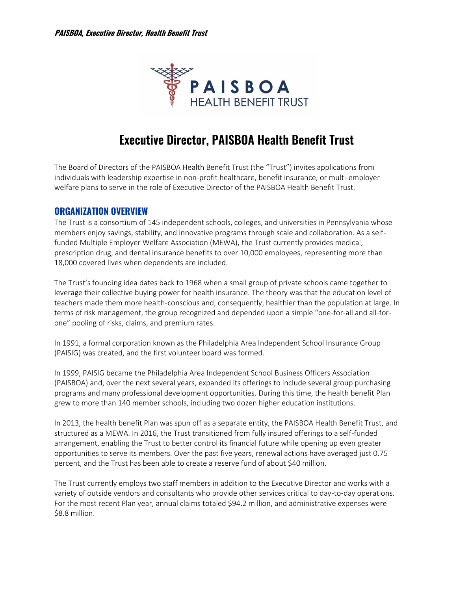

# **Executive Director, PAISBOA Health Benefit Trust**

The Board of Directors of the PAISBOA Health Benefit Trust (the "Trust") invites applications from individuals with leadership expertise in non-profit healthcare, benefit insurance, or multi-employer welfare plans to serve in the role of Executive Director of the PAISBOA Health Benefit Trust.

### **ORGANIZATION OVERVIEW**

The Trust is a consortium of 145 independent schools, colleges, and universities in Pennsylvania whose members enjoy savings, stability, and innovative programs through scale and collaboration. As a selffunded Multiple Employer Welfare Association (MEWA), the Trust currently provides medical, prescription drug, and dental insurance benefits to over 10,000 employees, representing more than 18,000 covered lives when dependents are included.

The Trust's founding idea dates back to 1968 when a small group of private schools came together to leverage their collective buying power for health insurance. The theory was that the education level of teachers made them more health-conscious and, consequently, healthier than the population at large. In terms of risk management, the group recognized and depended upon a simple "one-for-all and all-forone" pooling of risks, claims, and premium rates.

In 1991, a formal corporation known as the Philadelphia Area Independent School Insurance Group (PAISIG) was created, and the first volunteer board was formed.

In 1999, PAISIG became the Philadelphia Area Independent School Business Officers Association (PAISBOA) and, over the next several years, expanded its offerings to include several group purchasing programs and many professional development opportunities. During this time, the health benefit Plan grew to more than 140 member schools, including two dozen higher education institutions.

In 2013, the health benefit Plan was spun off as a separate entity, the PAISBOA Health Benefit Trust, and structured as a MEWA. In 2016, the Trust transitioned from fully insured offerings to a self-funded arrangement, enabling the Trust to better control its financial future while opening up even greater opportunities to serve its members. Over the past five years, renewal actions have averaged just 0.75 percent, and the Trust has been able to create a reserve fund of about \$40 million.

The Trust currently employs two staff members in addition to the Executive Director and works with a variety of outside vendors and consultants who provide other services critical to day-to-day operations. For the most recent Plan year, annual claims totaled \$94.2 million, and administrative expenses were \$8.8 million.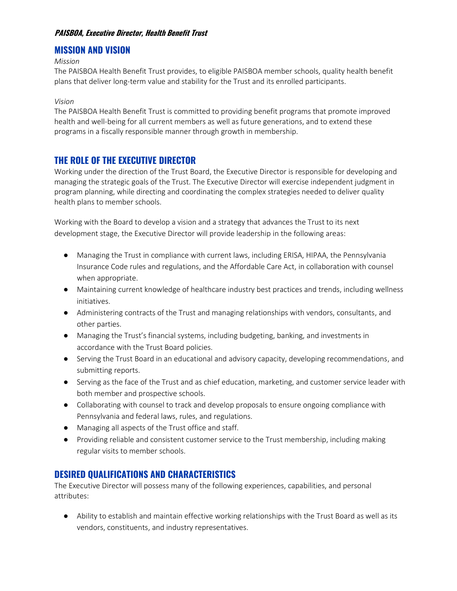### **PAISBOA, Executive Director, Health Benefit Trust**

# **MISSION AND VISION**

#### *Mission*

The PAISBOA Health Benefit Trust provides, to eligible PAISBOA member schools, quality health benefit plans that deliver long-term value and stability for the Trust and its enrolled participants.

#### *Vision*

The PAISBOA Health Benefit Trust is committed to providing benefit programs that promote improved health and well-being for all current members as well as future generations, and to extend these programs in a fiscally responsible manner through growth in membership.

## **THE ROLE OF THE EXECUTIVE DIRECTOR**

Working under the direction of the Trust Board, the Executive Director is responsible for developing and managing the strategic goals of the Trust. The Executive Director will exercise independent judgment in program planning, while directing and coordinating the complex strategies needed to deliver quality health plans to member schools.

Working with the Board to develop a vision and a strategy that advances the Trust to its next development stage, the Executive Director will provide leadership in the following areas:

- Managing the Trust in compliance with current laws, including ERISA, HIPAA, the Pennsylvania Insurance Code rules and regulations, and the Affordable Care Act, in collaboration with counsel when appropriate.
- Maintaining current knowledge of healthcare industry best practices and trends, including wellness initiatives.
- Administering contracts of the Trust and managing relationships with vendors, consultants, and other parties.
- Managing the Trust's financial systems, including budgeting, banking, and investments in accordance with the Trust Board policies.
- Serving the Trust Board in an educational and advisory capacity, developing recommendations, and submitting reports.
- Serving as the face of the Trust and as chief education, marketing, and customer service leader with both member and prospective schools.
- Collaborating with counsel to track and develop proposals to ensure ongoing compliance with Pennsylvania and federal laws, rules, and regulations.
- Managing all aspects of the Trust office and staff.
- Providing reliable and consistent customer service to the Trust membership, including making regular visits to member schools.

## **DESIRED QUALIFICATIONS AND CHARACTERISTICS**

The Executive Director will possess many of the following experiences, capabilities, and personal attributes:

● Ability to establish and maintain effective working relationships with the Trust Board as well as its vendors, constituents, and industry representatives.